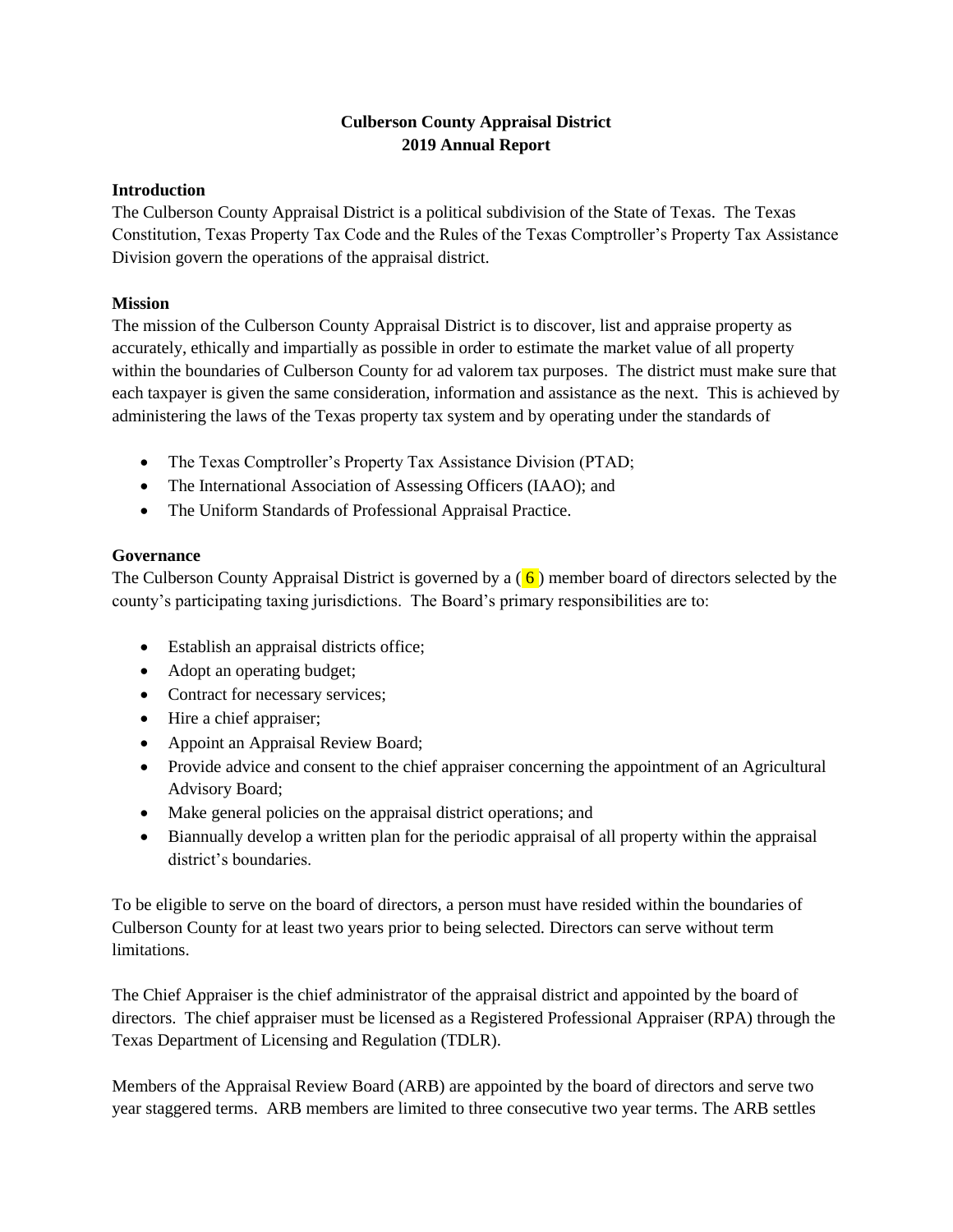# **Culberson County Appraisal District 2019 Annual Report**

### **Introduction**

The Culberson County Appraisal District is a political subdivision of the State of Texas. The Texas Constitution, Texas Property Tax Code and the Rules of the Texas Comptroller's Property Tax Assistance Division govern the operations of the appraisal district.

### **Mission**

The mission of the Culberson County Appraisal District is to discover, list and appraise property as accurately, ethically and impartially as possible in order to estimate the market value of all property within the boundaries of Culberson County for ad valorem tax purposes. The district must make sure that each taxpayer is given the same consideration, information and assistance as the next. This is achieved by administering the laws of the Texas property tax system and by operating under the standards of

- The Texas Comptroller's Property Tax Assistance Division (PTAD;
- The International Association of Assessing Officers (IAAO); and
- The Uniform Standards of Professional Appraisal Practice.

## **Governance**

The Culberson County Appraisal District is governed by a  $(6)$  member board of directors selected by the county's participating taxing jurisdictions. The Board's primary responsibilities are to:

- Establish an appraisal districts office;
- Adopt an operating budget;
- Contract for necessary services;
- Hire a chief appraiser;
- Appoint an Appraisal Review Board;
- Provide advice and consent to the chief appraiser concerning the appointment of an Agricultural Advisory Board;
- Make general policies on the appraisal district operations; and
- Biannually develop a written plan for the periodic appraisal of all property within the appraisal district's boundaries.

To be eligible to serve on the board of directors, a person must have resided within the boundaries of Culberson County for at least two years prior to being selected. Directors can serve without term limitations.

The Chief Appraiser is the chief administrator of the appraisal district and appointed by the board of directors. The chief appraiser must be licensed as a Registered Professional Appraiser (RPA) through the Texas Department of Licensing and Regulation (TDLR).

Members of the Appraisal Review Board (ARB) are appointed by the board of directors and serve two year staggered terms. ARB members are limited to three consecutive two year terms. The ARB settles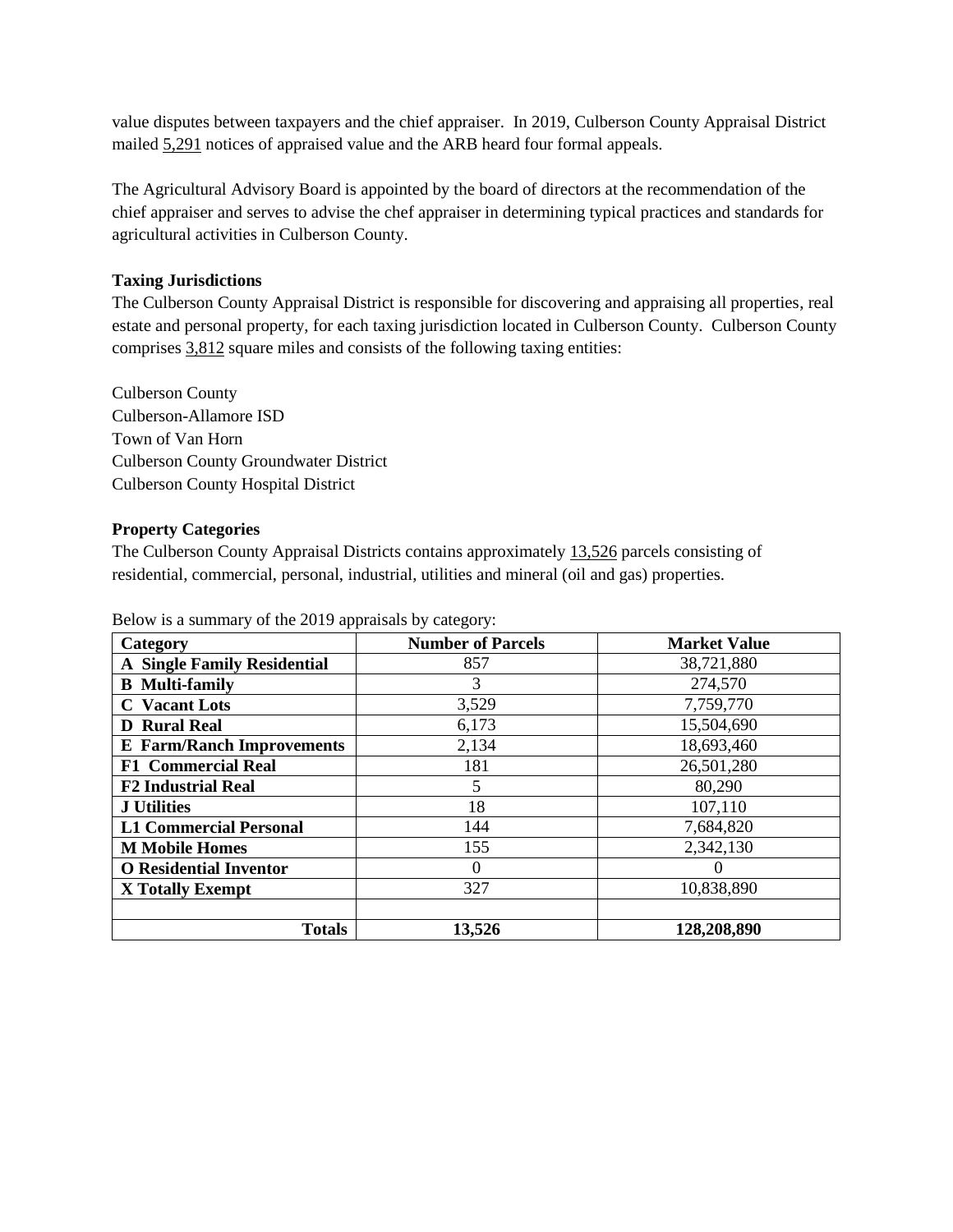value disputes between taxpayers and the chief appraiser. In 2019, Culberson County Appraisal District mailed 5,291 notices of appraised value and the ARB heard four formal appeals.

The Agricultural Advisory Board is appointed by the board of directors at the recommendation of the chief appraiser and serves to advise the chef appraiser in determining typical practices and standards for agricultural activities in Culberson County.

## **Taxing Jurisdictions**

The Culberson County Appraisal District is responsible for discovering and appraising all properties, real estate and personal property, for each taxing jurisdiction located in Culberson County. Culberson County comprises 3,812 square miles and consists of the following taxing entities:

Culberson County Culberson-Allamore ISD Town of Van Horn Culberson County Groundwater District Culberson County Hospital District

### **Property Categories**

The Culberson County Appraisal Districts contains approximately 13,526 parcels consisting of residential, commercial, personal, industrial, utilities and mineral (oil and gas) properties.

| Category                           | <b>Number of Parcels</b> | <b>Market Value</b> |
|------------------------------------|--------------------------|---------------------|
| <b>A Single Family Residential</b> | 857                      | 38,721,880          |
| <b>B</b> Multi-family              |                          | 274,570             |
| <b>C</b> Vacant Lots               | 3,529                    | 7,759,770           |
| <b>D</b> Rural Real                | 6,173                    | 15,504,690          |
| <b>E</b> Farm/Ranch Improvements   | 2,134                    | 18,693,460          |
| <b>F1 Commercial Real</b>          | 181                      | 26,501,280          |
| <b>F2 Industrial Real</b>          | 5                        | 80,290              |
| <b>J</b> Utilities                 | 18                       | 107,110             |
| <b>L1 Commercial Personal</b>      | 144                      | 7,684,820           |
| <b>M</b> Mobile Homes              | 155                      | 2,342,130           |
| <b>O</b> Residential Inventor      | 0                        |                     |
| X Totally Exempt                   | 327                      | 10,838,890          |
|                                    |                          |                     |
| <b>Totals</b>                      | 13,526                   | 128,208,890         |

Below is a summary of the 2019 appraisals by category: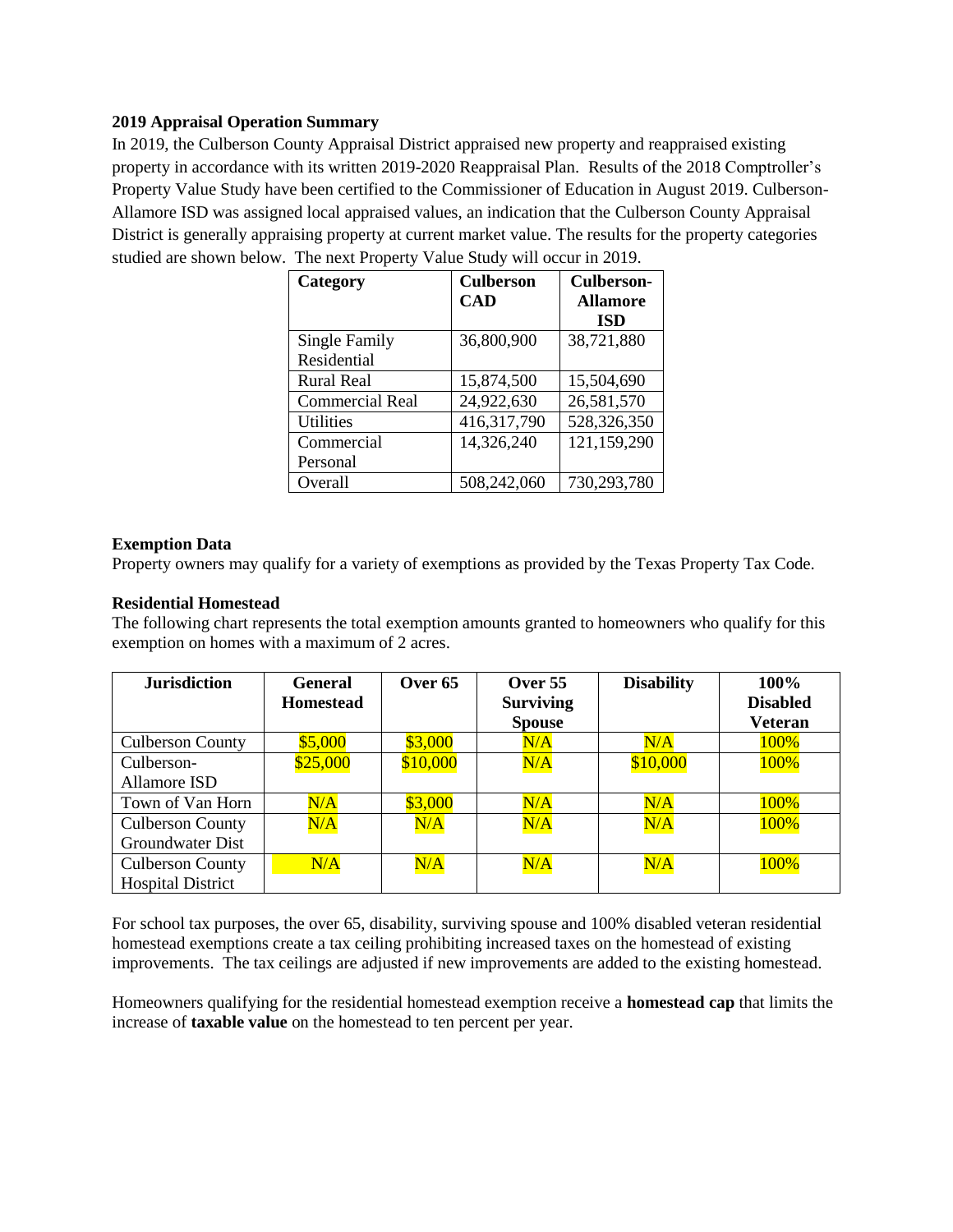#### **2019 Appraisal Operation Summary**

In 2019, the Culberson County Appraisal District appraised new property and reappraised existing property in accordance with its written 2019-2020 Reappraisal Plan. Results of the 2018 Comptroller's Property Value Study have been certified to the Commissioner of Education in August 2019. Culberson-Allamore ISD was assigned local appraised values, an indication that the Culberson County Appraisal District is generally appraising property at current market value. The results for the property categories studied are shown below. The next Property Value Study will occur in 2019.

| Category               | <b>Culberson</b> | Culberson-      |
|------------------------|------------------|-----------------|
|                        | <b>CAD</b>       | <b>Allamore</b> |
|                        |                  | <b>ISD</b>      |
| Single Family          | 36,800,900       | 38,721,880      |
| Residential            |                  |                 |
| <b>Rural Real</b>      | 15,874,500       | 15,504,690      |
| <b>Commercial Real</b> | 24,922,630       | 26,581,570      |
| <b>Utilities</b>       | 416,317,790      | 528,326,350     |
| Commercial             | 14,326,240       | 121,159,290     |
| Personal               |                  |                 |
| Overall                | 508,242,060      | 730,293,780     |

#### **Exemption Data**

Property owners may qualify for a variety of exemptions as provided by the Texas Property Tax Code.

#### **Residential Homestead**

The following chart represents the total exemption amounts granted to homeowners who qualify for this exemption on homes with a maximum of 2 acres.

| <b>Jurisdiction</b>                                 | <b>General</b><br><b>Homestead</b> | Over <sub>65</sub> | Over $55$<br><b>Surviving</b><br><b>Spouse</b> | <b>Disability</b> | 100%<br><b>Disabled</b><br><b>Veteran</b> |
|-----------------------------------------------------|------------------------------------|--------------------|------------------------------------------------|-------------------|-------------------------------------------|
| <b>Culberson County</b>                             | \$5,000                            | \$3,000            | N/A                                            | N/A               | 100%                                      |
| Culberson-<br>Allamore ISD                          | \$25,000                           | \$10,000           | N/A                                            | \$10,000          | 100%                                      |
| Town of Van Horn                                    | N/A                                | \$3,000            | N/A                                            | N/A               | 100%                                      |
| <b>Culberson County</b><br>Groundwater Dist         | N/A                                | N/A                | N/A                                            | N/A               | 100%                                      |
| <b>Culberson County</b><br><b>Hospital District</b> | N/A                                | N/A                | N/A                                            | N/A               | 100%                                      |

For school tax purposes, the over 65, disability, surviving spouse and 100% disabled veteran residential homestead exemptions create a tax ceiling prohibiting increased taxes on the homestead of existing improvements. The tax ceilings are adjusted if new improvements are added to the existing homestead.

Homeowners qualifying for the residential homestead exemption receive a **homestead cap** that limits the increase of **taxable value** on the homestead to ten percent per year.